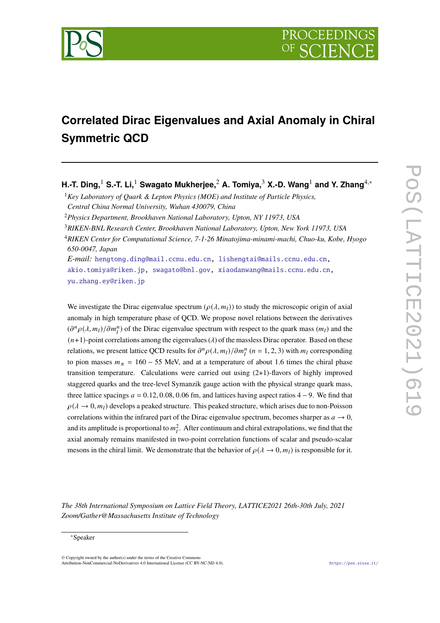

# **Correlated Dirac Eigenvalues and Axial Anomaly in Chiral Symmetric QCD**

**H.-T. Ding,**<sup>1</sup> **S.-T. Li,**<sup>1</sup> **Swagato Mukherjee,**<sup>2</sup> **A. Tomiya,**<sup>3</sup> **X.-D. Wang**<sup>1</sup> **and Y. Zhang**4,<sup>∗</sup>

<sup>1</sup>*Key Laboratory of Quark & Lepton Physics (MOE) and Institute of Particle Physics, Central China Normal University, Wuhan 430079, China*

<sup>2</sup>*Physics Department, Brookhaven National Laboratory, Upton, NY 11973, USA*

<sup>3</sup>*RIKEN-BNL Research Center, Brookhaven National Laboratory, Upton, New York 11973, USA*

<sup>4</sup>*RIKEN Center for Computational Science, 7-1-26 Minatojima-minami-machi, Chuo-ku, Kobe, Hyogo 650-0047, Japan*

*E-mail:* [hengtong.ding@mail.ccnu.edu.cn,](mailto:hengtong.ding@mail.ccnu.edu.cn) [lishengtai@mails.ccnu.edu.cn,](mailto:lishengtai@mails.ccnu.edu.cn) [akio.tomiya@riken.jp,](mailto:akio.tomiya@riken.jp) [swagato@bnl.gov,](mailto:swagato@bnl.gov) [xiaodanwang@mails.ccnu.edu.cn,](mailto:xiaodanwang@mails.ccnu.edu.cn) [yu.zhang.ey@riken.jp](mailto:yu.zhang.ey@riken.jp)

We investigate the Dirac eigenvalue spectrum ( $\rho(\lambda, m_l)$ ) to study the microscopic origin of axial anomaly in high temperature phase of QCD. We propose novel relations between the derivatives  $(\partial^n \rho(\lambda, m_l)/\partial m_l^n)$  of the Dirac eigenvalue spectrum with respect to the quark mass  $(m_l)$  and the  $(n+1)$ -point correlations among the eigenvalues ( $\lambda$ ) of the massless Dirac operator. Based on these relations, we present lattice QCD results for  $\partial^n \rho(\lambda, m_l)/\partial m_l^n$  ( $n = 1, 2, 3$ ) with  $m_l$  corresponding to pion masses  $m_{\pi} = 160 - 55$  MeV, and at a temperature of about 1.6 times the chiral phase transition temperature. Calculations were carried out using (2+1)-flavors of highly improved staggered quarks and the tree-level Symanzik gauge action with the physical strange quark mass, three lattice spacings  $a = 0.12, 0.08, 0.06$  fm, and lattices having aspect ratios 4 – 9. We find that  $\rho(\lambda \to 0, m_l)$  develops a peaked structure. This peaked structure, which arises due to non-Poisson correlations within the infrared part of the Dirac eigenvalue spectrum, becomes sharper as  $a \to 0$ , and its amplitude is proportional to  $m_l^2$ . After continuum and chiral extrapolations, we find that the axial anomaly remains manifested in two-point correlation functions of scalar and pseudo-scalar mesons in the chiral limit. We demonstrate that the behavior of  $\rho(\lambda \to 0, m_l)$  is responsible for it.

*The 38th International Symposium on Lattice Field Theory, LATTICE2021 26th-30th July, 2021 Zoom/Gather@Massachusetts Institute of Technology*

© Copyright owned by the author(s) under the terms of the Creative Commons Attribution-NonCommercial-NoDerivatives 4.0 International License (CC BY-NC-ND 4.0). <https://pos.sissa.it/>

<sup>∗</sup>Speaker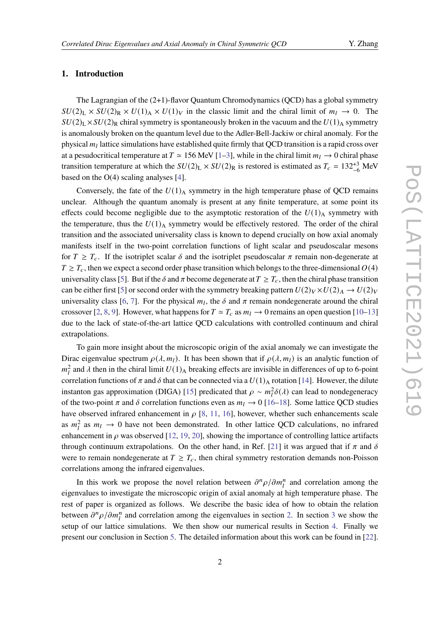# **1. Introduction**

The Lagrangian of the (2+1)-flavor Quantum Chromodynamics (QCD) has a global symmetry  $SU(2)_L \times SU(2)_R \times U(1)_A \times U(1)_V$  in the classic limit and the chiral limit of  $m_l \to 0$ . The  $SU(2)_L \times SU(2)_R$  chiral symmetry is spontaneously broken in the vacuum and the  $U(1)_A$  symmetry is anomalously broken on the quantum level due to the Adler-Bell-Jackiw or chiral anomaly. For the physical  $m_l$  lattice simulations have established quite firmly that QCD transition is a rapid cross over at a pesudocritical temperature at  $T \approx 156$  MeV [\[1–](#page-6-0)[3\]](#page-7-0), while in the chiral limit  $m_l \to 0$  chiral phase transition temperature at which the  $SU(2)_L \times SU(2)_R$  is restored is estimated as  $T_c = 132^{+3}_{-6}$  MeV based on the  $O(4)$  scaling analyses [\[4\]](#page-7-1).

Conversely, the fate of the  $U(1)_{A}$  symmetry in the high temperature phase of QCD remains unclear. Although the quantum anomaly is present at any finite temperature, at some point its effects could become negligible due to the asymptotic restoration of the  $U(1)_{\text{A}}$  symmetry with the temperature, thus the  $U(1)_{A}$  symmetry would be effectively restored. The order of the chiral transition and the associated universality class is known to depend crucially on how axial anomaly manifests itself in the two-point correlation functions of light scalar and pseudoscalar mesons for  $T \geq T_c$ . If the isotriplet scalar  $\delta$  and the isotriplet pseudoscalar  $\pi$  remain non-degenerate at  $T \geq T_c$ , then we expect a second order phase transition which belongs to the three-dimensional  $O(4)$ universality class [\[5\]](#page-7-2). But if the  $\delta$  and  $\pi$  become degenerate at  $T \geq T_c$ , then the chiral phase transition can be either first [\[5\]](#page-7-2) or second order with the symmetry breaking pattern  $U(2)_V \times U(2)_A \rightarrow U(2)_V$ universality class [\[6,](#page-7-3) [7\]](#page-7-4). For the physical  $m_l$ , the  $\delta$  and  $\pi$  remain nondegenerate around the chiral crossover [\[2,](#page-7-5) [8,](#page-7-6) [9\]](#page-7-7). However, what happens for  $T \simeq T_c$  as  $m_l \to 0$  remains an open question [\[10](#page-7-8)[–13\]](#page-7-9) due to the lack of state-of-the-art lattice QCD calculations with controlled continuum and chiral extrapolations.

To gain more insight about the microscopic origin of the axial anomaly we can investigate the Dirac eigenvalue spectrum  $\rho(\lambda, m_l)$ . It has been shown that if  $\rho(\lambda, m_l)$  is an analytic function of  $m_l^2$  and  $\lambda$  then in the chiral limit  $U(1)$ <sub>A</sub> breaking effects are invisible in differences of up to 6-point correlation functions of  $\pi$  and  $\delta$  that can be connected via a  $U(1)_{A}$  rotation [\[14\]](#page-7-10). However, the dilute instanton gas approximation (DIGA) [\[15\]](#page-7-11) predicated that  $\rho \sim m_l^2 \delta(\lambda)$  can lead to nondegeneracy of the two-point  $\pi$  and  $\delta$  correlation functions even as  $m_l \to 0$  [\[16–](#page-8-0)[18\]](#page-8-1). Some lattice QCD studies have observed infrared enhancement in  $\rho$  [\[8,](#page-7-6) [11,](#page-7-12) [16\]](#page-8-0), however, whether such enhancements scale as  $m_l^2$  as  $m_l \to 0$  have not been demonstrated. In other lattice QCD calculations, no infrared enhancement in  $\rho$  was observed [\[12,](#page-7-13) [19,](#page-8-2) [20\]](#page-8-3), showing the importance of controlling lattice artifacts through continuum extrapolations. On the other hand, in Ref. [\[21\]](#page-8-4) it was argued that if  $\pi$  and  $\delta$ were to remain nondegenerate at  $T \geq T_c$ , then chiral symmetry restoration demands non-Poisson correlations among the infrared eigenvalues.

In this work we propose the novel relation between  $\partial^n \rho / \partial m_l^n$  and correlation among the eigenvalues to investigate the microscopic origin of axial anomaly at high temperature phase. The rest of paper is organized as follows. We describe the basic idea of how to obtain the relation between  $\partial^n \rho / \partial m_l^n$  and correlation among the eigenvalues in section [2.](#page-2-0) In section [3](#page-3-0) we show the setup of our lattice simulations. We then show our numerical results in Section [4.](#page-3-1) Finally we present our conclusion in Section [5.](#page-6-1) The detailed information about this work can be found in [\[22\]](#page-8-5).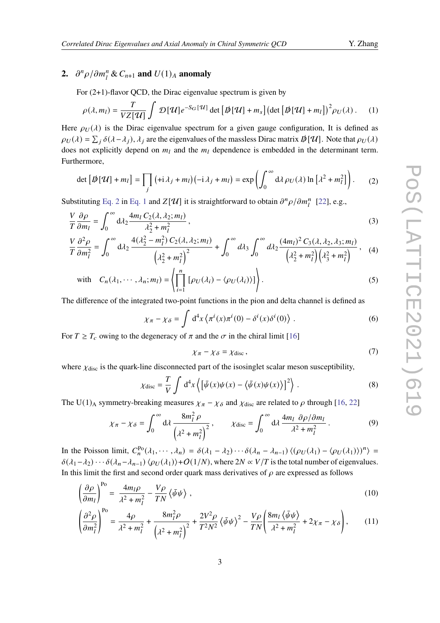# <span id="page-2-0"></span>**2.**  $\partial^n \rho / \partial m_l^n \& C_{n+1}$  and  $U(1)_A$  anomaly

<span id="page-2-2"></span>For (2+1)-flavor QCD, the Dirac eigenvalue spectrum is given by

$$
\rho(\lambda, m_l) = \frac{T}{VZ[\mathcal{U}]} \int \mathcal{D}[\mathcal{U}] e^{-S_G[\mathcal{U}]} \det [\mathcal{D}[\mathcal{U}] + m_s] (\det [\mathcal{D}[\mathcal{U}] + m_l])^2 \rho_U(\lambda).
$$
 (1)

Here  $\rho_U(\lambda)$  is the Dirac eigenvalue spectrum for a given gauge configuration, It is defined as  $\rho_U(\lambda) = \sum_j \delta(\lambda - \lambda_j)$ ,  $\lambda_j$  are the eigenvalues of the massless Dirac matrix  $\phi[\mathcal{U}]$ . Note that  $\rho_U(\lambda)$ does not explicitly depend on  $m_l$  and the  $m_l$  dependence is embedded in the determinant term. Furthermore,

<span id="page-2-1"></span>
$$
\det\left[\mathcal{D}[\mathcal{U}] + m_l\right] = \prod_j \left(+i\,\lambda_j + m_l\right)\left(-i\,\lambda_j + m_l\right) = \exp\left(\int_0^\infty d\lambda \,\rho_U(\lambda) \ln\left[\lambda^2 + m_l^2\right]\right). \tag{2}
$$

Substituting [Eq. 2](#page-2-1) in [Eq. 1](#page-2-2) and  $Z[\mathcal{U}]$  it is straightforward to obtain  $\partial^n \rho / \partial m_l^n$  [\[22\]](#page-8-5), e.g.,

$$
\frac{V}{T}\frac{\partial \rho}{\partial m_l} = \int_0^\infty d\lambda_2 \frac{4m_l C_2(\lambda, \lambda_2; m_l)}{\lambda_2^2 + m_l^2},\tag{3}
$$

$$
\frac{V}{T}\frac{\partial^2 \rho}{\partial m_l^2} = \int_0^\infty d\lambda_2 \, \frac{4(\lambda_2^2 - m_l^2) \, C_2(\lambda, \lambda_2; m_l)}{\left(\lambda_2^2 + m_l^2\right)^2} + \int_0^\infty d\lambda_3 \int_0^\infty d\lambda_2 \, \frac{(4m_l)^2 \, C_3(\lambda, \lambda_2, \lambda_3; m_l)}{\left(\lambda_2^2 + m_l^2\right)\left(\lambda_3^2 + m_l^2\right)},\tag{4}
$$

with 
$$
C_n(\lambda_1, \dots, \lambda_n; m_l) = \left\langle \prod_{i=1}^n \left[ \rho_U(\lambda_i) - \langle \rho_U(\lambda_i) \rangle \right] \right\rangle
$$
. (5)

The difference of the integrated two-point functions in the pion and delta channel is defined as

$$
\chi_{\pi} - \chi_{\delta} = \int d^4x \left\langle \pi^i(x)\pi^i(0) - \delta^i(x)\delta^i(0) \right\rangle . \tag{6}
$$

For  $T \geq T_c$  owing to the degeneracy of  $\pi$  and the  $\sigma$  in the chiral limit [\[16\]](#page-8-0)

<span id="page-2-6"></span><span id="page-2-5"></span><span id="page-2-4"></span><span id="page-2-3"></span>
$$
\chi_{\pi} - \chi_{\delta} = \chi_{\text{disc}}\,,\tag{7}
$$

where  $\chi_{\text{disc}}$  is the quark-line disconnected part of the isosinglet scalar meson susceptibility,

$$
\chi_{\text{disc}} = \frac{T}{V} \int d^4x \left\{ \left[ \bar{\psi}(x) \psi(x) - \langle \bar{\psi}(x) \psi(x) \rangle \right]^2 \right\}.
$$
 (8)

The U(1)<sub>A</sub> symmetry-breaking measures  $\chi_{\pi} - \chi_{\delta}$  and  $\chi_{\text{disc}}$  are related to  $\rho$  through [\[16,](#page-8-0) [22\]](#page-8-5)

$$
\chi_{\pi} - \chi_{\delta} = \int_0^{\infty} d\lambda \, \frac{8m_l^2 \, \rho}{\left(\lambda^2 + m_l^2\right)^2}, \qquad \chi_{\text{disc}} = \int_0^{\infty} d\lambda \, \frac{4m_l \, \partial \rho / \partial m_l}{\lambda^2 + m_l^2} \,. \tag{9}
$$

In the Poisson limit,  $C_n^{\text{Po}}(\lambda_1, \dots, \lambda_n) = \delta(\lambda_1 - \lambda_2) \cdots \delta(\lambda_n - \lambda_{n-1}) \langle (\rho_U(\lambda_1) - \langle \rho_U(\lambda_1) \rangle)^n \rangle =$  $\delta(\lambda_1-\lambda_2)\cdots\delta(\lambda_n-\lambda_{n-1})$   $\langle \rho_U(\lambda_1)\rangle$  +  $O(1/N)$ , where  $2N \propto V/T$  is the total number of eigenvalues. In this limit the first and second order quark mass derivatives of  $\rho$  are expressed as follows

$$
\left(\frac{\partial \rho}{\partial m_l}\right)^{\text{Po}} = \frac{4m_l \rho}{\lambda^2 + m_l^2} - \frac{V\rho}{TN} \left\langle \bar{\psi}\psi \right\rangle ,\tag{10}
$$

$$
\left(\frac{\partial^2 \rho}{\partial m_l^2}\right)^{\text{Po}} = \frac{4\rho}{\lambda^2 + m_l^2} + \frac{8m_l^2 \rho}{\left(\lambda^2 + m_l^2\right)^2} + \frac{2V^2 \rho}{T^2 N^2} \left\langle \bar{\psi}\psi \right\rangle^2 - \frac{V\rho}{T N} \left(\frac{8m_l \left\langle \bar{\psi}\psi \right\rangle}{\lambda^2 + m_l^2} + 2\chi_\pi - \chi_\delta\right),\tag{11}
$$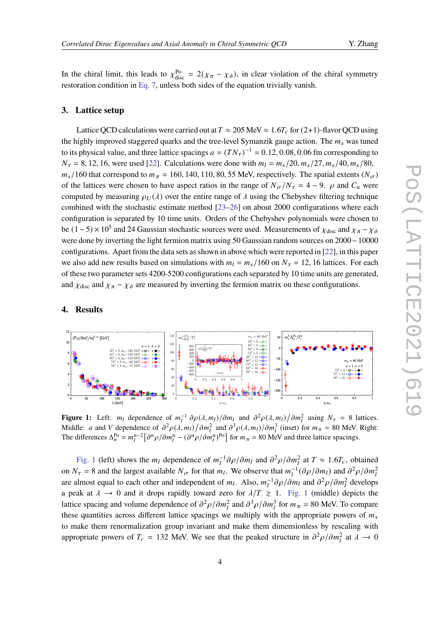In the chiral limit, this leads to  $\chi_{\text{disc}}^{\text{Po}} = 2(\chi_{\pi} - \chi_{\delta})$ , in clear violation of the chiral symmetry restoration condition in [Eq. 7,](#page-2-3) unless both sides of the equation trivially vanish.

# <span id="page-3-0"></span>**3. Lattice setup**

Lattice QCD calculations were carried out at  $T \approx 205$  MeV  $\approx 1.6T_c$  for (2+1)-flavor QCD using the highly improved staggered quarks and the tree-level Symanzik gauge action. The  $m_s$  was tuned to its physical value, and three lattice spacings  $a = (TN_\tau)^{-1} = 0.12, 0.08, 0.06$  fm corresponding to  $N_{\tau} = 8, 12, 16$ , were used [\[22\]](#page-8-5). Calculations were done with  $m_l = m_s/20, m_s/27, m_s/40, m_s/80$ ,  $m_s/160$  that correspond to  $m_\pi \simeq 160$ , 140, 110, 80, 55 MeV, respectively. The spatial extents  $(N_\sigma)$ of the lattices were chosen to have aspect ratios in the range of  $N_{\sigma}/N_{\tau} = 4 - 9$ .  $\rho$  and  $C_n$  were computed by measuring  $\rho_U(\lambda)$  over the entire range of  $\lambda$  using the Chebyshev filtering technique combined with the stochastic estimate method [\[23–](#page-8-6)[26\]](#page-8-7) on about 2000 configurations where each configuration is separated by 10 time units. Orders of the Chebyshev polynomials were chosen to be  $(1-5) \times 10^5$  and 24 Gaussian stochastic sources were used. Measurements of  $\chi_{\text{disc}}$  and  $\chi_{\pi} - \chi_{\delta}$ were done by inverting the light fermion matrix using 50 Gaussian random sources on 2000−10000 configurations. Apart from the data sets as shown in above which were reported in [\[22\]](#page-8-5), in this paper we also add new results based on simulations with  $m_l = m_s/160$  on  $N_{\tau} = 12, 16$  lattices. For each of these two parameter sets 4200-5200 configurations each separated by 10 time units are generated, and  $\chi_{\text{disc}}$  and  $\chi_{\pi} - \chi_{\delta}$  are measured by inverting the fermion matrix on these configurations.

#### <span id="page-3-1"></span>**4. Results**

<span id="page-3-2"></span>

**Figure 1:** Left:  $m_l$  dependence of  $m_l^{-1} \partial \rho(\lambda, m_l) / \partial m_l$  and  $\partial^2 \rho(\lambda, m_l) / \partial m_l^2$  using  $N_{\tau} = 8$  lattices. Middle: a and V dependence of  $\partial^2 \rho(\lambda, m_1) / \partial m_1^2$  and  $\partial^3 \rho(\lambda, m_1) / \partial m_1^3$  (inset) for  $m_\pi = 80$  MeV. Right: The differences  $\Delta_n^{\text{Po}} = m_l^{n-2} \left[ \frac{\partial^n \rho}{\partial m_l^n} - \left( \frac{\partial^n \rho}{\partial m_l^n} \right)^{\text{Po}} \right]$  for  $m_\pi = 80$  MeV and three lattice spacings.

[Fig. 1](#page-3-2) (left) shows the  $m_l$  dependence of  $m_l^{-1} \partial \rho / \partial m_l$  and  $\partial^2 \rho / \partial m_l^2$  at  $T \approx 1.6T_c$ , obtained on  $N_{\tau} = 8$  and the largest available  $N_{\sigma}$  for that  $m_l$ . We observe that  $m_l^{-1}(\partial \rho/\partial m_l)$  and  $\partial^2 \rho/\partial m_l^2$ are almost equal to each other and independent of  $m_l$ . Also,  $m_l^{-1} \partial \rho / \partial m_l$  and  $\partial^2 \rho / \partial m_l^2$  develops a peak at  $\lambda \to 0$  and it drops rapidly toward zero for  $\lambda/T \ge 1$ . [Fig. 1](#page-3-2) (middle) depicts the lattice spacing and volume dependence of  $\partial^2 \rho / \partial m_l^2$  and  $\partial^3 \rho / \partial m_l^3$  for  $m_\pi = 80$  MeV. To compare these quantities across different lattice spacings we multiply with the appropriate powers of  $m_s$ to make them renormalization group invariant and make them dimensionless by rescaling with appropriate powers of  $T_c = 132$  MeV. We see that the peaked structure in  $\partial^2 \rho / \partial m_l^2$  at  $\lambda \to 0$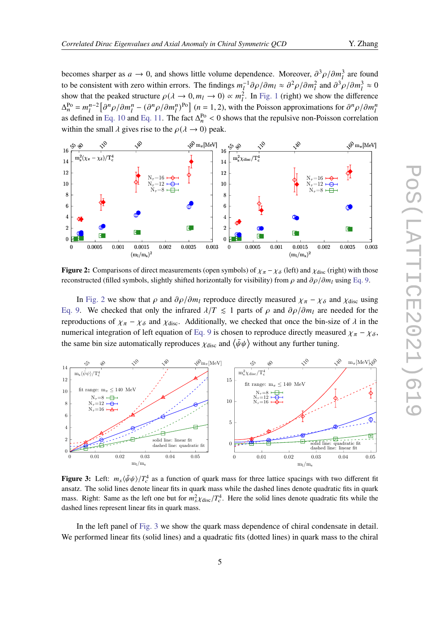becomes sharper as  $a \to 0$ , and shows little volume dependence. Moreover,  $\partial^3 \rho / \partial m_l^3$  are found to be consistent with zero within errors. The findings  $m_l^{-1}\partial\rho/\partial m_l \approx \partial^2\rho/\partial m_l^2$  and  $\partial^3\rho/\partial m_l^3 \approx 0$ show that the peaked structure  $\rho(\lambda \to 0, m_l \to 0) \propto m_l^2$ . In [Fig. 1](#page-3-2) (right) we show the difference  $\Delta_n^{\text{Po}} = m_l^{n-2} \left[ \frac{\partial^n \rho}{\partial m_l^n} - \left( \frac{\partial^n \rho}{\partial m_l^n} \right)^{\text{Po}} \right]$  (*n* = 1, 2), with the Poisson approximations for  $\frac{\partial^n \rho}{\partial m_l^n}$ as defined in [Eq. 10](#page-2-4) and [Eq. 11.](#page-2-5) The fact  $\Delta_n^{\text{Po}} < 0$  shows that the repulsive non-Poisson correlation within the small  $\lambda$  gives rise to the  $\rho(\lambda \to 0)$  peak.

<span id="page-4-0"></span>

**Figure 2:** Comparisons of direct measurements (open symbols) of  $\chi_{\pi} - \chi_{\delta}$  (left) and  $\chi_{\text{disc}}$  (right) with those reconstructed (filled symbols, slightly shifted horizontally for visibility) from  $\rho$  and  $\frac{\partial \rho}{\partial m_l}$  using [Eq. 9.](#page-2-6)

In [Fig. 2](#page-4-0) we show that  $\rho$  and  $\partial \rho / \partial m_l$  reproduce directly measured  $\chi_{\pi} - \chi_{\delta}$  and  $\chi_{\text{disc}}$  using [Eq. 9.](#page-2-6) We checked that only the infrared  $\lambda/T \le 1$  parts of  $\rho$  and  $\partial \rho / \partial m_l$  are needed for the reproductions of  $\chi_{\pi} - \chi_{\delta}$  and  $\chi_{disc}$ . Additionally, we checked that once the bin-size of  $\lambda$  in the numerical integration of left equation of [Eq. 9](#page-2-6) is chosen to reproduce directly measured  $\chi_{\pi} - \chi_{\delta}$ , the same bin size automatically reproduces  $\chi_{\text{disc}}$  and  $\langle \bar{\psi}\psi \rangle$  without any further tuning.

<span id="page-4-1"></span>

**Figure 3:** Left:  $m_s \langle \bar{\psi} \psi \rangle / T_c^4$  as a function of quark mass for three lattice spacings with two different fit ansatz. The solid lines denote linear fits in quark mass while the dashed lines denote quadratic fits in quark mass. Right: Same as the left one but for  $m_s^2 \chi_{\text{disc}}/T_c^4$ . Here the solid lines denote quadratic fits while the dashed lines represent linear fits in quark mass.

In the left panel of [Fig. 3](#page-4-1) we show the quark mass dependence of chiral condensate in detail. We performed linear fits (solid lines) and a quadratic fits (dotted lines) in quark mass to the chiral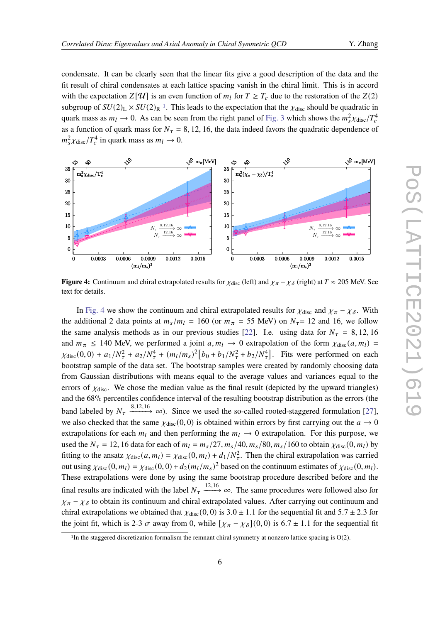condensate. It can be clearly seen that the linear fits give a good description of the data and the fit result of chiral condensates at each lattice spacing vanish in the chiral limit. This is in accord with the expectation  $Z[\mathcal{U}]$  is an even function of  $m_l$  for  $T \geq T_c$  due to the restoration of the  $Z(2)$ subgroup of  $SU(2)_L \times SU(2)_R$ <sup>[1](#page-5-0)</sup>. This leads to the expectation that the  $\chi_{disc}$  should be quadratic in quark mass as  $m_l \to 0$ . As can be seen from the right panel of [Fig. 3](#page-4-1) which shows the  $m_s^2 \chi_{\text{disc}}/T_c^4$ as a function of quark mass for  $N_{\tau} = 8$ , 12, 16, the data indeed favors the quadratic dependence of  $m_s^2 \chi_{\text{disc}}/T_c^4$  in quark mass as  $m_l \to 0$ .

<span id="page-5-1"></span>

**Figure 4:** Continuum and chiral extrapolated results for  $\chi_{disc}$  (left) and  $\chi_{\pi} - \chi_{\delta}$  (right) at  $T \approx 205$  MeV. See text for details.

In [Fig. 4](#page-5-1) we show the continuum and chiral extrapolated results for  $\chi_{\text{disc}}$  and  $\chi_{\pi} - \chi_{\delta}$ . With the additional 2 data points at  $m_s/m_l = 160$  (or  $m_\pi = 55$  MeV) on  $N_\tau = 12$  and 16, we follow the same analysis methods as in our previous studies [\[22\]](#page-8-5). I.e. using data for  $N_{\tau} = 8, 12, 16$ and  $m_{\pi} \le 140$  MeV, we performed a joint  $a, m_l \to 0$  extrapolation of the form  $\chi_{disc}(a, m_l)$  =  $\chi_{\text{disc}}(0,0) + a_1/N_{\tau}^2 + a_2/N_{\tau}^4 + (m_l/m_s)^2 \left[b_0 + b_1/N_{\tau}^2 + b_2/N_{\tau}^4\right]$ . Fits were performed on each bootstrap sample of the data set. The bootstrap samples were created by randomly choosing data from Gaussian distributions with means equal to the average values and variances equal to the errors of  $\chi_{disc}$ . We chose the median value as the final result (depicted by the upward triangles) and the 68% percentiles confidence interval of the resulting bootstrap distribution as the errors (the band labeled by  $N_{\tau} \xrightarrow{8,12,16} \infty$ ). Since we used the so-called rooted-staggered formulation [\[27\]](#page-8-8), we also checked that the same  $\chi_{disc} (0, 0)$  is obtained within errors by first carrying out the  $a \to 0$ extrapolations for each  $m_l$  and then performing the  $m_l \rightarrow 0$  extrapolation. For this purpose, we used the  $N_{\tau} = 12$ , 16 data for each of  $m_l = m_s/27$ ,  $m_s/40$ ,  $m_s/80$ ,  $m_s/160$  to obtain  $\chi_{\text{disc}}(0, m_l)$  by fitting to the ansatz  $\chi_{\text{disc}}(a, m_l) = \chi_{\text{disc}}(0, m_l) + d_1/N_{\tau}^2$ . Then the chiral extrapolation was carried out using  $\chi_{\text{disc}}(0, m_l) = \chi_{\text{disc}}(0, 0) + d_2 (m_l/m_s)^2$  based on the continuum estimates of  $\chi_{\text{disc}}(0, m_l)$ . These extrapolations were done by using the same bootstrap procedure described before and the final results are indicated with the label  $N_{\tau} \xrightarrow{12,16} \infty$ . The same procedures were followed also for  $\chi_{\pi} - \chi_{\delta}$  to obtain its continuum and chiral extrapolated values. After carrying out continuum and chiral extrapolations we obtained that  $\chi_{disc} (0, 0)$  is 3.0  $\pm$  1.1 for the sequential fit and 5.7  $\pm$  2.3 for the joint fit, which is 2-3  $\sigma$  away from 0, while  $[\chi_{\pi} - \chi_{\delta}] (0, 0)$  is 6.7 ± 1.1 for the sequential fit

<span id="page-5-0"></span> $1$ In the staggered discretization formalism the remnant chiral symmetry at nonzero lattice spacing is  $O(2)$ .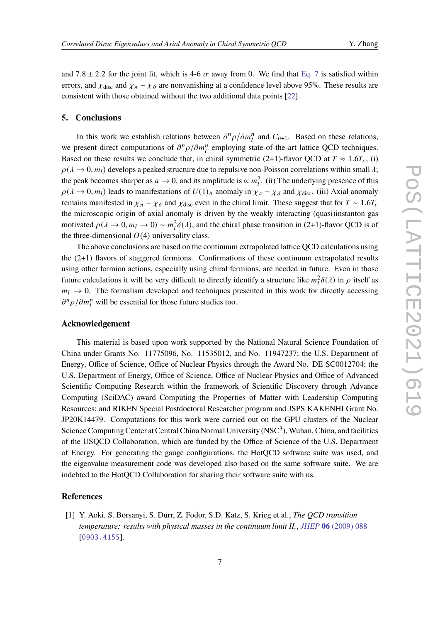and 7.8  $\pm$  2.2 for the joint fit, which is 4-6  $\sigma$  away from 0. We find that [Eq. 7](#page-2-3) is satisfied within errors, and  $\chi_{\text{disc}}$  and  $\chi_{\pi} - \chi_{\delta}$  are nonvanishing at a confidence level above 95%. These results are consistent with those obtained without the two additional data points [\[22\]](#page-8-5).

#### <span id="page-6-1"></span>**5. Conclusions**

In this work we establish relations between  $\partial^n \rho / \partial m_l^n$  and  $C_{n+1}$ . Based on these relations, we present direct computations of  $\partial^n \rho / \partial m_l^n$  employing state-of-the-art lattice QCD techniques. Based on these results we conclude that, in chiral symmetric (2+1)-flavor QCD at  $T \approx 1.6T_c$ , (i)  $\rho(\lambda \to 0, m_l)$  develops a peaked structure due to repulsive non-Poisson correlations within small  $\lambda$ ; the peak becomes sharper as  $a \to 0$ , and its amplitude is  $\propto m_l^2$ . (ii) The underlying presence of this  $\rho(\lambda \to 0, m_l)$  leads to manifestations of  $U(1)_{\text{A}}$  anomaly in  $\chi_{\pi} - \chi_{\delta}$  and  $\chi_{\text{disc}}$ . (iii) Axial anomaly remains manifested in  $\chi_{\pi} - \chi_{\delta}$  and  $\chi_{\text{disc}}$  even in the chiral limit. These suggest that for  $T \sim 1.6T_c$ the microscopic origin of axial anomaly is driven by the weakly interacting (quasi)instanton gas motivated  $\rho(\lambda \to 0, m_l \to 0) \sim m_l^2 \delta(\lambda)$ , and the chiral phase transition in (2+1)-flavor QCD is of the three-dimensional  $O(4)$  universality class.

The above conclusions are based on the continuum extrapolated lattice QCD calculations using the (2+1) flavors of staggered fermions. Confirmations of these continuum extrapolated results using other fermion actions, especially using chiral fermions, are needed in future. Even in those future calculations it will be very difficult to directly identify a structure like  $m_l^2 \delta(\lambda)$  in  $\rho$  itself as  $m_l \rightarrow 0$ . The formalism developed and techniques presented in this work for directly accessing  $\partial^n \rho / \partial m_l^n$  will be essential for those future studies too.

#### **Acknowledgement**

This material is based upon work supported by the National Natural Science Foundation of China under Grants No. 11775096, No. 11535012, and No. 11947237; the U.S. Department of Energy, Office of Science, Office of Nuclear Physics through the Award No. DE-SC0012704; the U.S. Department of Energy, Office of Science, Office of Nuclear Physics and Office of Advanced Scientific Computing Research within the framework of Scientific Discovery through Advance Computing (SciDAC) award Computing the Properties of Matter with Leadership Computing Resources; and RIKEN Special Postdoctoral Researcher program and JSPS KAKENHI Grant No. JP20K14479. Computations for this work were carried out on the GPU clusters of the Nuclear Science Computing Center at Central China Normal University (NSC<sup>3</sup>), Wuhan, China, and facilities of the USQCD Collaboration, which are funded by the Office of Science of the U.S. Department of Energy. For generating the gauge configurations, the HotQCD software suite was used, and the eigenvalue measurement code was developed also based on the same software suite. We are indebted to the HotQCD Collaboration for sharing their software suite with us.

# **References**

<span id="page-6-0"></span>[1] Y. Aoki, S. Borsanyi, S. Durr, Z. Fodor, S.D. Katz, S. Krieg et al., *The QCD transition temperature: results with physical masses in the continuum limit II.*, *JHEP* **06** [\(2009\) 088](https://doi.org/10.1088/1126-6708/2009/06/088) [[0903.4155](https://arxiv.org/abs/0903.4155)].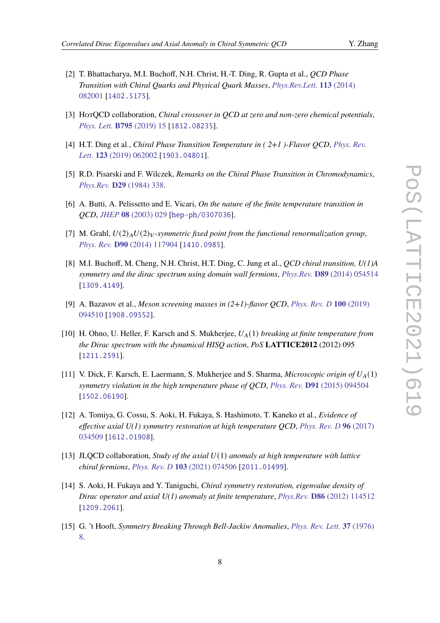- <span id="page-7-5"></span>[2] T. Bhattacharya, M.I. Buchoff, N.H. Christ, H.-T. Ding, R. Gupta et al., *QCD Phase Transition with Chiral Quarks and Physical Quark Masses*, *[Phys.Rev.Lett.](https://doi.org/10.1103/PhysRevLett.113.082001)* **113** (2014) [082001](https://doi.org/10.1103/PhysRevLett.113.082001) [[1402.5175](https://arxiv.org/abs/1402.5175)].
- <span id="page-7-0"></span>[3] HotQCD collaboration, *Chiral crossover in QCD at zero and non-zero chemical potentials*, *[Phys. Lett.](https://doi.org/10.1016/j.physletb.2019.05.013)* **B795** (2019) 15 [[1812.08235](https://arxiv.org/abs/1812.08235)].
- <span id="page-7-1"></span>[4] H.T. Ding et al., *Chiral Phase Transition Temperature in ( 2+1 )-Flavor QCD*, *[Phys. Rev.](https://doi.org/10.1103/PhysRevLett.123.062002) Lett.* **123** [\(2019\) 062002](https://doi.org/10.1103/PhysRevLett.123.062002) [[1903.04801](https://arxiv.org/abs/1903.04801)].
- <span id="page-7-2"></span>[5] R.D. Pisarski and F. Wilczek, *Remarks on the Chiral Phase Transition in Chromodynamics*, *[Phys.Rev.](https://doi.org/10.1103/PhysRevD.29.338)* **D29** (1984) 338.
- <span id="page-7-3"></span>[6] A. Butti, A. Pelissetto and E. Vicari, *On the nature of the finite temperature transition in QCD*, *JHEP* **08** [\(2003\) 029](https://doi.org/10.1088/1126-6708/2003/08/029) [[hep-ph/0307036](https://arxiv.org/abs/hep-ph/0307036)].
- <span id="page-7-4"></span>[7] M. Grahl,  $U(2)_A U(2)_V$ -symmetric fixed point from the functional renormalization group, *Phys. Rev.* **D90** [\(2014\) 117904](https://doi.org/10.1103/PhysRevD.90.117904) [[1410.0985](https://arxiv.org/abs/1410.0985)].
- <span id="page-7-6"></span>[8] M.I. Buchoff, M. Cheng, N.H. Christ, H.T. Ding, C. Jung et al., *QCD chiral transition, U(1)A symmetry and the dirac spectrum using domain wall fermions*, *Phys.Rev.* **D89** [\(2014\) 054514](https://doi.org/10.1103/PhysRevD.89.054514) [[1309.4149](https://arxiv.org/abs/1309.4149)].
- <span id="page-7-7"></span>[9] A. Bazavov et al., *Meson screening masses in (2+1)-flavor QCD*, *[Phys. Rev. D](https://doi.org/10.1103/PhysRevD.100.094510)* **100** (2019) [094510](https://doi.org/10.1103/PhysRevD.100.094510) [[1908.09552](https://arxiv.org/abs/1908.09552)].
- <span id="page-7-8"></span>[10] H. Ohno, U. Heller, F. Karsch and S. Mukherjee, (1) *breaking at finite temperature from the Dirac spectrum with the dynamical HISQ action*, *PoS* **LATTICE2012** (2012) 095 [[1211.2591](https://arxiv.org/abs/1211.2591)].
- <span id="page-7-12"></span>[11] V. Dick, F. Karsch, E. Laermann, S. Mukherjee and S. Sharma, *Microscopic origin of* (1) *symmetry violation in the high temperature phase of QCD*, *Phys. Rev.* **D91** [\(2015\) 094504](https://doi.org/10.1103/PhysRevD.91.094504) [[1502.06190](https://arxiv.org/abs/1502.06190)].
- <span id="page-7-13"></span>[12] A. Tomiya, G. Cossu, S. Aoki, H. Fukaya, S. Hashimoto, T. Kaneko et al., *Evidence of effective axial U(1) symmetry restoration at high temperature QCD*, *[Phys. Rev. D](https://doi.org/10.1103/PhysRevD.96.034509)* **96** (2017) [034509](https://doi.org/10.1103/PhysRevD.96.034509) [[1612.01908](https://arxiv.org/abs/1612.01908)].
- <span id="page-7-9"></span>[13] JLQCD collaboration, *Study of the axial* (1) *anomaly at high temperature with lattice chiral fermions*, *[Phys. Rev. D](https://doi.org/10.1103/PhysRevD.103.074506)* **103** (2021) 074506 [[2011.01499](https://arxiv.org/abs/2011.01499)].
- <span id="page-7-10"></span>[14] S. Aoki, H. Fukaya and Y. Taniguchi, *Chiral symmetry restoration, eigenvalue density of Dirac operator and axial U(1) anomaly at finite temperature*, *Phys.Rev.* **D86** [\(2012\) 114512](https://doi.org/10.1103/PhysRevD.86.114512) [[1209.2061](https://arxiv.org/abs/1209.2061)].
- <span id="page-7-11"></span>[15] G. 't Hooft, *Symmetry Breaking Through Bell-Jackiw Anomalies*, *[Phys. Rev. Lett.](https://doi.org/10.1103/PhysRevLett.37.8)* **37** (1976) [8.](https://doi.org/10.1103/PhysRevLett.37.8)